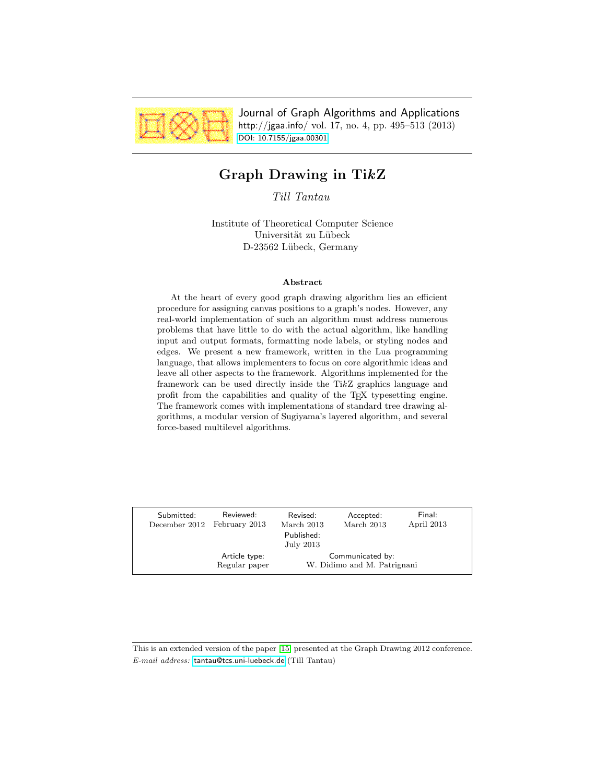

Journal of Graph Algorithms and Applications http://jgaa.info/ vol. 17, no. 4, pp. 495–513 (2013) [DOI: 10.7155/jgaa.00301](http://dx.doi.org/10.7155/jgaa.00301)

## Graph Drawing in TikZ

Till Tantau

Institute of Theoretical Computer Science Universität zu Lübeck D-23562 Lübeck, Germany

#### Abstract

At the heart of every good graph drawing algorithm lies an efficient procedure for assigning canvas positions to a graph's nodes. However, any real-world implementation of such an algorithm must address numerous problems that have little to do with the actual algorithm, like handling input and output formats, formatting node labels, or styling nodes and edges. We present a new framework, written in the Lua programming language, that allows implementers to focus on core algorithmic ideas and leave all other aspects to the framework. Algorithms implemented for the framework can be used directly inside the TikZ graphics language and profit from the capabilities and quality of the T<sub>E</sub>X typesetting engine. The framework comes with implementations of standard tree drawing algorithms, a modular version of Sugiyama's layered algorithm, and several force-based multilevel algorithms.

| Submitted:<br>December 2012 | Reviewed:<br>February 2013     | Revised:<br>March 2013  | Accepted:<br>March 2013                         | Final:<br>April 2013 |
|-----------------------------|--------------------------------|-------------------------|-------------------------------------------------|----------------------|
|                             |                                | Published:<br>July 2013 |                                                 |                      |
|                             | Article type:<br>Regular paper |                         | Communicated by:<br>W. Didimo and M. Patrignani |                      |

This is an extended version of the paper [\[15\]](#page-18-0) presented at the Graph Drawing 2012 conference. E-mail address: [tantau@tcs.uni-luebeck.de](mailto:tantau@tcs.uni-luebeck.de) (Till Tantau)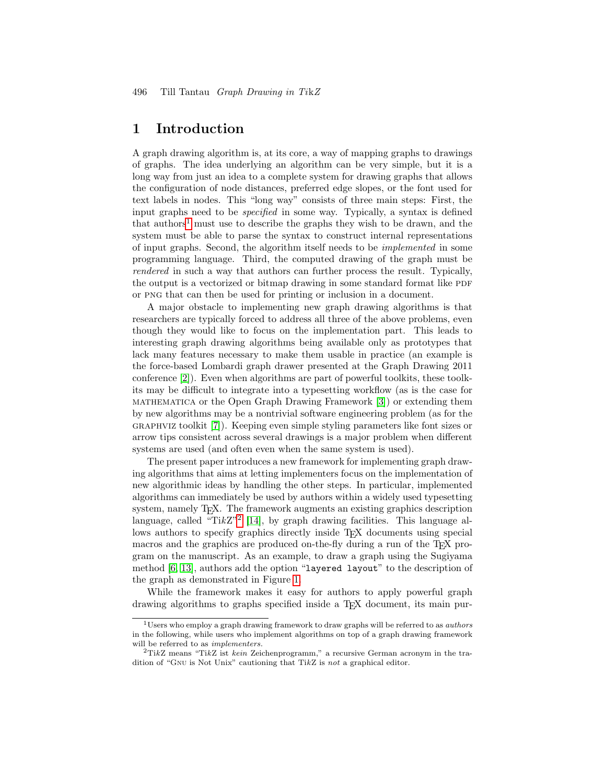## 1 Introduction

A graph drawing algorithm is, at its core, a way of mapping graphs to drawings of graphs. The idea underlying an algorithm can be very simple, but it is a long way from just an idea to a complete system for drawing graphs that allows the configuration of node distances, preferred edge slopes, or the font used for text labels in nodes. This "long way" consists of three main steps: First, the input graphs need to be specified in some way. Typically, a syntax is defined that authors<sup>[1](#page-1-0)</sup> must use to describe the graphs they wish to be drawn, and the system must be able to parse the syntax to construct internal representations of input graphs. Second, the algorithm itself needs to be implemented in some programming language. Third, the computed drawing of the graph must be rendered in such a way that authors can further process the result. Typically, the output is a vectorized or bitmap drawing in some standard format like PDF or png that can then be used for printing or inclusion in a document.

A major obstacle to implementing new graph drawing algorithms is that researchers are typically forced to address all three of the above problems, even though they would like to focus on the implementation part. This leads to interesting graph drawing algorithms being available only as prototypes that lack many features necessary to make them usable in practice (an example is the force-based Lombardi graph drawer presented at the Graph Drawing 2011 conference  $[2]$ ). Even when algorithms are part of powerful toolkits, these toolkits may be difficult to integrate into a typesetting workflow (as is the case for mathematica or the Open Graph Drawing Framework [\[3\]](#page-17-1)) or extending them by new algorithms may be a nontrivial software engineering problem (as for the graphviz toolkit [\[7\]](#page-17-2)). Keeping even simple styling parameters like font sizes or arrow tips consistent across several drawings is a major problem when different systems are used (and often even when the same system is used).

The present paper introduces a new framework for implementing graph drawing algorithms that aims at letting implementers focus on the implementation of new algorithmic ideas by handling the other steps. In particular, implemented algorithms can immediately be used by authors within a widely used typesetting system, namely T<sub>E</sub>X. The framework augments an existing graphics description language, called "Ti $kZ$ "<sup>[2](#page-1-1)</sup> [\[14\]](#page-18-1), by graph drawing facilities. This language allows authors to specify graphics directly inside T<sub>E</sub>X documents using special macros and the graphics are produced on-the-fly during a run of the T<sub>E</sub>X program on the manuscript. As an example, to draw a graph using the Sugiyama method [\[6,](#page-17-3) [13\]](#page-17-4), authors add the option "layered layout" to the description of the graph as demonstrated in Figure [1.](#page-2-0)

While the framework makes it easy for authors to apply powerful graph drawing algorithms to graphs specified inside a T<sub>E</sub>X document, its main pur-

<span id="page-1-0"></span><sup>&</sup>lt;sup>1</sup>Users who employ a graph drawing framework to draw graphs will be referred to as *authors* in the following, while users who implement algorithms on top of a graph drawing framework will be referred to as *implementers*.

<span id="page-1-1"></span> ${}^{2}$ TikZ means "TikZ ist kein Zeichenprogramm," a recursive German acronym in the tradition of "Gnu is Not Unix" cautioning that TikZ is not a graphical editor.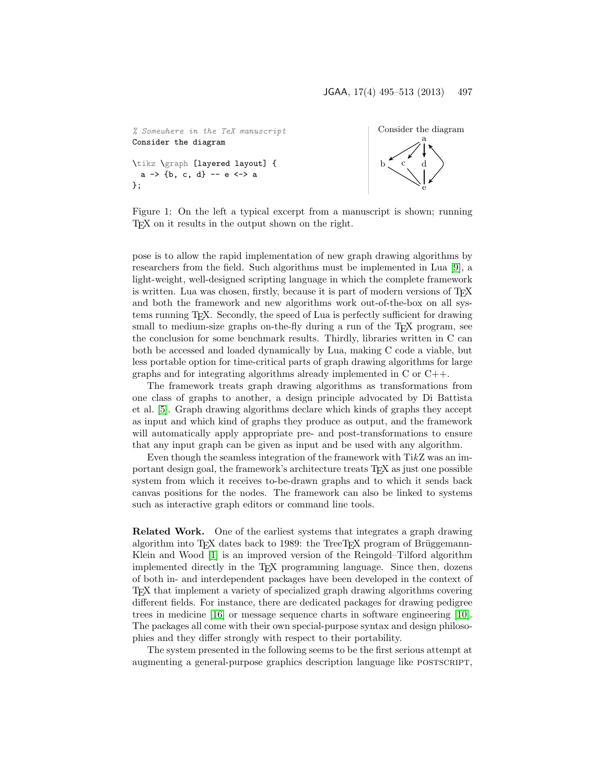```
% Somewhere in the TeX manuscript
Consider the diagram
\tikz \graph [layered layout] {
  a -> {b, c, d} -- e <-> a
};
```


<span id="page-2-0"></span>Figure 1: On the left a typical excerpt from a manuscript is shown; running TEX on it results in the output shown on the right.

pose is to allow the rapid implementation of new graph drawing algorithms by researchers from the field. Such algorithms must be implemented in Lua [\[9\]](#page-17-5), a light-weight, well-designed scripting language in which the complete framework is written. Lua was chosen, firstly, because it is part of modern versions of T<sub>F</sub>X and both the framework and new algorithms work out-of-the-box on all systems running T<sub>E</sub>X. Secondly, the speed of Lua is perfectly sufficient for drawing small to medium-size graphs on-the-fly during a run of the T<sub>E</sub>X program, see the conclusion for some benchmark results. Thirdly, libraries written in C can both be accessed and loaded dynamically by Lua, making C code a viable, but less portable option for time-critical parts of graph drawing algorithms for large graphs and for integrating algorithms already implemented in C or C++.

The framework treats graph drawing algorithms as transformations from one class of graphs to another, a design principle advocated by Di Battista et al. [\[5\]](#page-17-6). Graph drawing algorithms declare which kinds of graphs they accept as input and which kind of graphs they produce as output, and the framework will automatically apply appropriate pre- and post-transformations to ensure that any input graph can be given as input and be used with any algorithm.

Even though the seamless integration of the framework with  $TikZ$  was an important design goal, the framework's architecture treats TEX as just one possible system from which it receives to-be-drawn graphs and to which it sends back canvas positions for the nodes. The framework can also be linked to systems such as interactive graph editors or command line tools.

Related Work. One of the earliest systems that integrates a graph drawing algorithm into TEX dates back to 1989: the TreeTEX program of Brüggemann-Klein and Wood [\[1\]](#page-17-7) is an improved version of the Reingold–Tilford algorithm implemented directly in the TEX programming language. Since then, dozens of both in- and interdependent packages have been developed in the context of TEX that implement a variety of specialized graph drawing algorithms covering different fields. For instance, there are dedicated packages for drawing pedigree trees in medicine [\[16\]](#page-18-2) or message sequence charts in software engineering [\[10\]](#page-17-8). The packages all come with their own special-purpose syntax and design philosophies and they differ strongly with respect to their portability.

The system presented in the following seems to be the first serious attempt at augmenting a general-purpose graphics description language like POSTSCRIPT,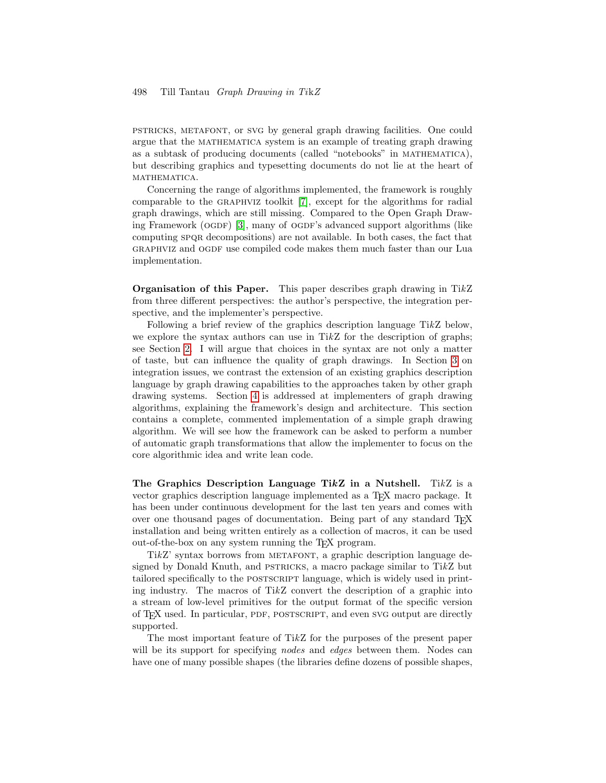#### 498 Till Tantau Graph Drawing in TikZ

pstricks, metafont, or svg by general graph drawing facilities. One could argue that the mathematica system is an example of treating graph drawing as a subtask of producing documents (called "notebooks" in mathematica), but describing graphics and typesetting documents do not lie at the heart of MATHEMATICA.

Concerning the range of algorithms implemented, the framework is roughly comparable to the graphviz toolkit [\[7\]](#page-17-2), except for the algorithms for radial graph drawings, which are still missing. Compared to the Open Graph Draw-ing Framework (OGDF) [\[3\]](#page-17-1), many of OGDF's advanced support algorithms (like computing spqr decompositions) are not available. In both cases, the fact that GRAPHVIZ and OGDF use compiled code makes them much faster than our Lua implementation.

Organisation of this Paper. This paper describes graph drawing in TikZ from three different perspectives: the author's perspective, the integration perspective, and the implementer's perspective.

Following a brief review of the graphics description language TikZ below, we explore the syntax authors can use in TikZ for the description of graphs; see Section [2.](#page-4-0) I will argue that choices in the syntax are not only a matter of taste, but can influence the quality of graph drawings. In Section [3](#page-7-0) on integration issues, we contrast the extension of an existing graphics description language by graph drawing capabilities to the approaches taken by other graph drawing systems. Section [4](#page-9-0) is addressed at implementers of graph drawing algorithms, explaining the framework's design and architecture. This section contains a complete, commented implementation of a simple graph drawing algorithm. We will see how the framework can be asked to perform a number of automatic graph transformations that allow the implementer to focus on the core algorithmic idea and write lean code.

The Graphics Description Language TikZ in a Nutshell. TikZ is a vector graphics description language implemented as a TFX macro package. It has been under continuous development for the last ten years and comes with over one thousand pages of documentation. Being part of any standard TEX installation and being written entirely as a collection of macros, it can be used out-of-the-box on any system running the T<sub>EX</sub> program.

 $Ti\&Z$ ' syntax borrows from METAFONT, a graphic description language designed by Donald Knuth, and pstricks, a macro package similar to TikZ but tailored specifically to the postscript language, which is widely used in printing industry. The macros of TikZ convert the description of a graphic into a stream of low-level primitives for the output format of the specific version of T<sub>E</sub>X used. In particular, PDF, POSTSCRIPT, and even SVG output are directly supported.

The most important feature of TikZ for the purposes of the present paper will be its support for specifying *nodes* and *edges* between them. Nodes can have one of many possible shapes (the libraries define dozens of possible shapes,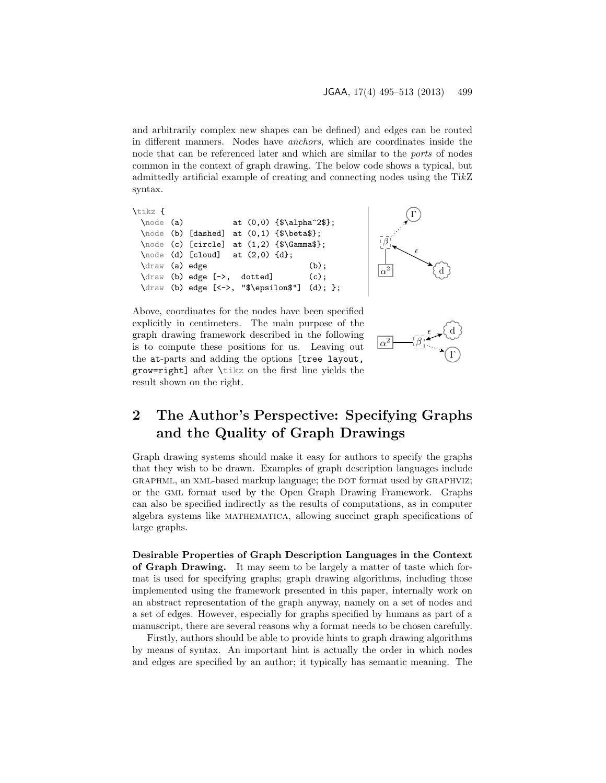and arbitrarily complex new shapes can be defined) and edges can be routed in different manners. Nodes have anchors, which are coordinates inside the node that can be referenced later and which are similar to the ports of nodes common in the context of graph drawing. The below code shows a typical, but admittedly artificial example of creating and connecting nodes using the TikZ syntax.

\tikz { \node (a) at (0,0) {\$\alpha^2\$};  $\setminus$ node (b) [dashed] at  $(0,1)$  {\$ $\beta$ }; \node (c) [circle] at (1,2) {\$\Gamma\$}; \node (d) [cloud] at (2,0) {d}; \draw (a) edge (b);  $\langle \text{draw} (b) \text{ edge } [-\rangle, \text{ dotted}]$  (c); \draw (b) edge [<->, "\$\epsilon\$"] (d); };



Above, coordinates for the nodes have been specified explicitly in centimeters. The main purpose of the graph drawing framework described in the following is to compute these positions for us. Leaving out the at-parts and adding the options [tree layout, grow=right] after \tikz on the first line yields the result shown on the right.



## <span id="page-4-0"></span>2 The Author's Perspective: Specifying Graphs and the Quality of Graph Drawings

Graph drawing systems should make it easy for authors to specify the graphs that they wish to be drawn. Examples of graph description languages include graphml, an xml-based markup language; the dot format used by graphviz; or the gml format used by the Open Graph Drawing Framework. Graphs can also be specified indirectly as the results of computations, as in computer algebra systems like mathematica, allowing succinct graph specifications of large graphs.

Desirable Properties of Graph Description Languages in the Context of Graph Drawing. It may seem to be largely a matter of taste which format is used for specifying graphs; graph drawing algorithms, including those implemented using the framework presented in this paper, internally work on an abstract representation of the graph anyway, namely on a set of nodes and a set of edges. However, especially for graphs specified by humans as part of a manuscript, there are several reasons why a format needs to be chosen carefully.

Firstly, authors should be able to provide hints to graph drawing algorithms by means of syntax. An important hint is actually the order in which nodes and edges are specified by an author; it typically has semantic meaning. The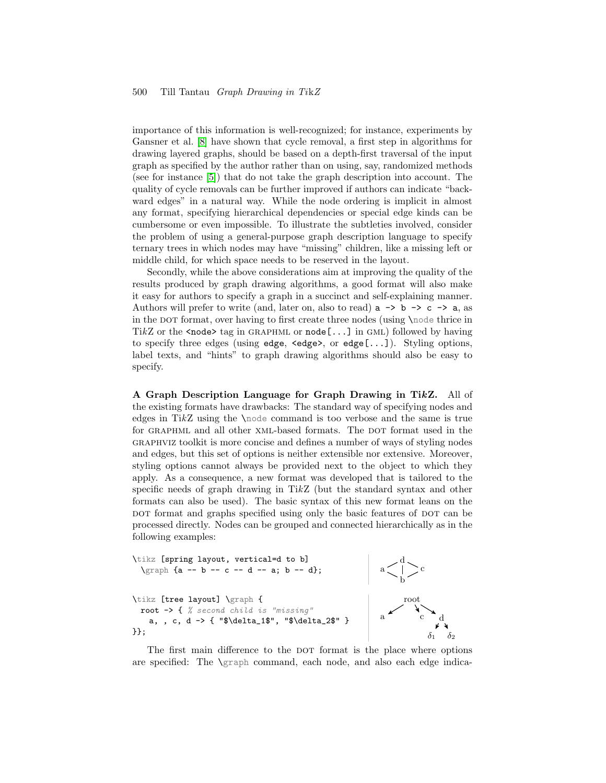importance of this information is well-recognized; for instance, experiments by Gansner et al. [\[8\]](#page-17-9) have shown that cycle removal, a first step in algorithms for drawing layered graphs, should be based on a depth-first traversal of the input graph as specified by the author rather than on using, say, randomized methods (see for instance [\[5\]](#page-17-6)) that do not take the graph description into account. The quality of cycle removals can be further improved if authors can indicate "backward edges" in a natural way. While the node ordering is implicit in almost any format, specifying hierarchical dependencies or special edge kinds can be cumbersome or even impossible. To illustrate the subtleties involved, consider the problem of using a general-purpose graph description language to specify ternary trees in which nodes may have "missing" children, like a missing left or middle child, for which space needs to be reserved in the layout.

Secondly, while the above considerations aim at improving the quality of the results produced by graph drawing algorithms, a good format will also make it easy for authors to specify a graph in a succinct and self-explaining manner. Authors will prefer to write (and, later on, also to read)  $a \rightarrow b \rightarrow c \rightarrow a$ , as in the DOT format, over having to first create three nodes (using \node thrice in TikZ or the <node> tag in GRAPHML or node [...] in GML) followed by having to specify three edges (using edge, <edge>, or edge[...]). Styling options, label texts, and "hints" to graph drawing algorithms should also be easy to specify.

A Graph Description Language for Graph Drawing in TikZ. All of the existing formats have drawbacks: The standard way of specifying nodes and edges in TikZ using the \node command is too verbose and the same is true for GRAPHML and all other XML-based formats. The DOT format used in the graphviz toolkit is more concise and defines a number of ways of styling nodes and edges, but this set of options is neither extensible nor extensive. Moreover, styling options cannot always be provided next to the object to which they apply. As a consequence, a new format was developed that is tailored to the specific needs of graph drawing in TikZ (but the standard syntax and other formats can also be used). The basic syntax of this new format leans on the both format and graphs specified using only the basic features of por can be processed directly. Nodes can be grouped and connected hierarchically as in the following examples:



The first main difference to the DOT format is the place where options are specified: The \graph command, each node, and also each edge indica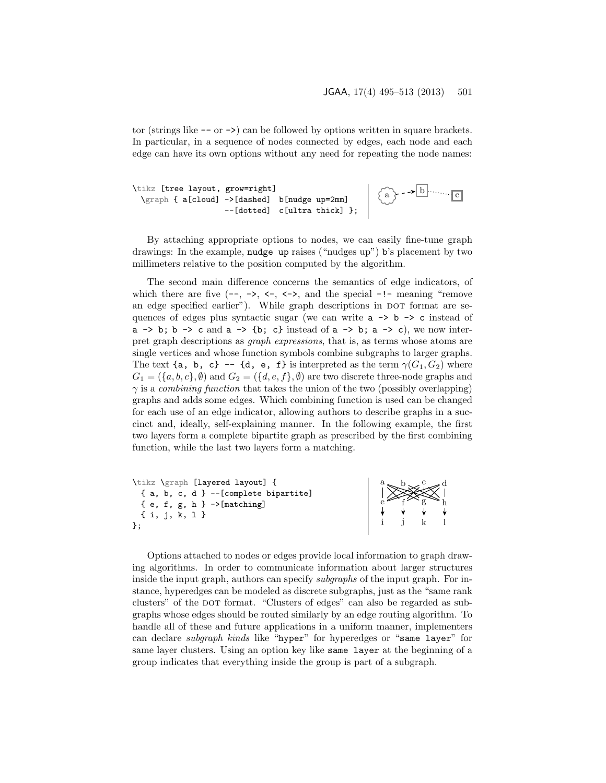tor (strings like -- or ->) can be followed by options written in square brackets. In particular, in a sequence of nodes connected by edges, each node and each edge can have its own options without any need for repeating the node names:

\tikz [tree layout, grow=right] \graph { a[cloud] ->[dashed] b[nudge up=2mm] --[dotted] c[ultra thick] }; a  $\rightarrow$  - - - b  $\rightarrow$   $\boxed{c}$ 

By attaching appropriate options to nodes, we can easily fine-tune graph drawings: In the example, nudge up raises ("nudges up") b's placement by two millimeters relative to the position computed by the algorithm.

The second main difference concerns the semantics of edge indicators, of which there are five  $(-, -\rangle, \langle -\rangle, \langle -\rangle, \langle -\rangle)$  and the special  $-!$ - meaning "remove an edge specified earlier"). While graph descriptions in DOT format are sequences of edges plus syntactic sugar (we can write  $a \rightarrow b \rightarrow c$  instead of a  $\rightarrow$  b; b  $\rightarrow$  c and a  $\rightarrow$  {b; c} instead of a  $\rightarrow$  b; a  $\rightarrow$  c), we now interpret graph descriptions as graph expressions, that is, as terms whose atoms are single vertices and whose function symbols combine subgraphs to larger graphs. The text {a, b, c} -- {d, e, f} is interpreted as the term  $\gamma(G_1, G_2)$  where  $G_1 = (\{a, b, c\}, \emptyset)$  and  $G_2 = (\{d, e, f\}, \emptyset)$  are two discrete three-node graphs and  $\gamma$  is a *combining function* that takes the union of the two (possibly overlapping) graphs and adds some edges. Which combining function is used can be changed for each use of an edge indicator, allowing authors to describe graphs in a succinct and, ideally, self-explaining manner. In the following example, the first two layers form a complete bipartite graph as prescribed by the first combining function, while the last two layers form a matching.

| \tikz \graph [layered layout] {         |              |         |
|-----------------------------------------|--------------|---------|
| $\{a, b, c, d\}$ --[complete bipartite] |              |         |
| ${e, f, g, h} \rightarrow [matching]$   |              |         |
| $\{i, j, k, 1\}$                        | $\mathbf{v}$ |         |
|                                         | i i          | $k = 1$ |

Options attached to nodes or edges provide local information to graph drawing algorithms. In order to communicate information about larger structures inside the input graph, authors can specify *subgraphs* of the input graph. For instance, hyperedges can be modeled as discrete subgraphs, just as the "same rank clusters" of the DOT format. "Clusters of edges" can also be regarded as subgraphs whose edges should be routed similarly by an edge routing algorithm. To handle all of these and future applications in a uniform manner, implementers can declare subgraph kinds like "hyper" for hyperedges or "same layer" for same layer clusters. Using an option key like same layer at the beginning of a group indicates that everything inside the group is part of a subgraph.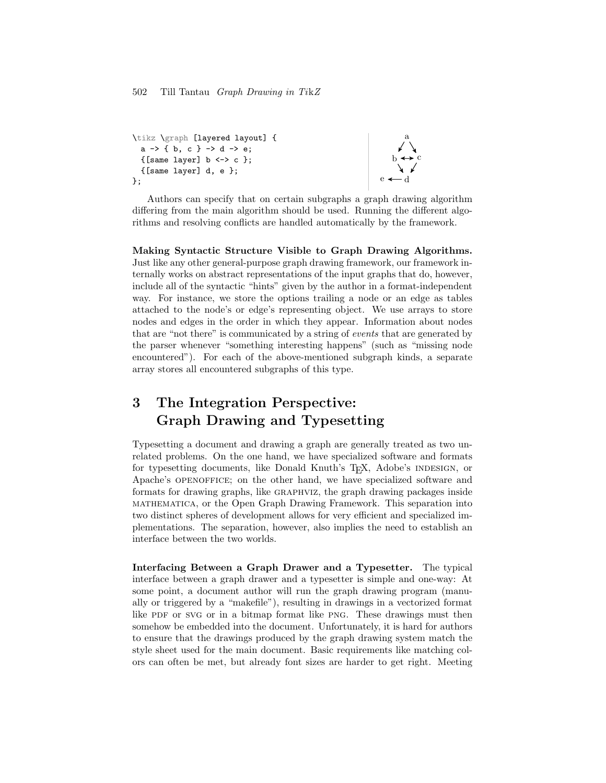```
\tikz \graph [layered layout] {
  a \rightarrow \{ b, c \} \rightarrow d \rightarrow e;{[same layer]} b \leftarrow > c };
   {[same layer] d, e };
};
                                                                                                   a
                                                                                              \mathbf{b} \leftrightarrow \mathbf{c}e \leftarrow d
```
Authors can specify that on certain subgraphs a graph drawing algorithm differing from the main algorithm should be used. Running the different algorithms and resolving conflicts are handled automatically by the framework.

Making Syntactic Structure Visible to Graph Drawing Algorithms. Just like any other general-purpose graph drawing framework, our framework internally works on abstract representations of the input graphs that do, however, include all of the syntactic "hints" given by the author in a format-independent way. For instance, we store the options trailing a node or an edge as tables attached to the node's or edge's representing object. We use arrays to store nodes and edges in the order in which they appear. Information about nodes that are "not there" is communicated by a string of events that are generated by the parser whenever "something interesting happens" (such as "missing node encountered"). For each of the above-mentioned subgraph kinds, a separate array stores all encountered subgraphs of this type.

## <span id="page-7-0"></span>3 The Integration Perspective: Graph Drawing and Typesetting

Typesetting a document and drawing a graph are generally treated as two unrelated problems. On the one hand, we have specialized software and formats for typesetting documents, like Donald Knuth's T<sub>E</sub>X, Adobe's INDESIGN, or Apache's openoffice; on the other hand, we have specialized software and formats for drawing graphs, like GRAPHVIZ, the graph drawing packages inside mathematica, or the Open Graph Drawing Framework. This separation into two distinct spheres of development allows for very efficient and specialized implementations. The separation, however, also implies the need to establish an interface between the two worlds.

Interfacing Between a Graph Drawer and a Typesetter. The typical interface between a graph drawer and a typesetter is simple and one-way: At some point, a document author will run the graph drawing program (manually or triggered by a "makefile"), resulting in drawings in a vectorized format like PDF or svG or in a bitmap format like PNG. These drawings must then somehow be embedded into the document. Unfortunately, it is hard for authors to ensure that the drawings produced by the graph drawing system match the style sheet used for the main document. Basic requirements like matching colors can often be met, but already font sizes are harder to get right. Meeting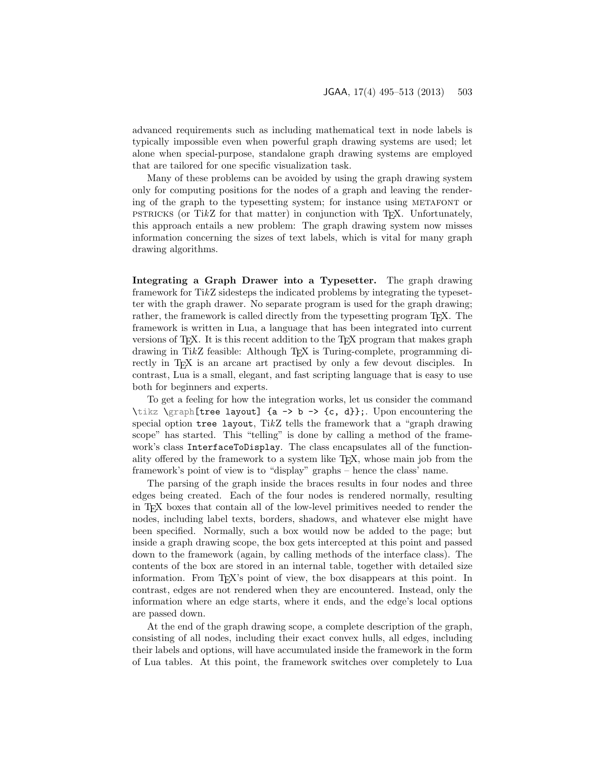advanced requirements such as including mathematical text in node labels is typically impossible even when powerful graph drawing systems are used; let alone when special-purpose, standalone graph drawing systems are employed that are tailored for one specific visualization task.

Many of these problems can be avoided by using the graph drawing system only for computing positions for the nodes of a graph and leaving the rendering of the graph to the typesetting system; for instance using metafont or  $PSTRICKS$  (or TikZ for that matter) in conjunction with T<sub>EX</sub>. Unfortunately, this approach entails a new problem: The graph drawing system now misses information concerning the sizes of text labels, which is vital for many graph drawing algorithms.

Integrating a Graph Drawer into a Typesetter. The graph drawing framework for TikZ sidesteps the indicated problems by integrating the typesetter with the graph drawer. No separate program is used for the graph drawing; rather, the framework is called directly from the typesetting program T<sub>E</sub>X. The framework is written in Lua, a language that has been integrated into current versions of TEX. It is this recent addition to the TEX program that makes graph drawing in TikZ feasible: Although TEX is Turing-complete, programming directly in T<sub>E</sub>X is an arcane art practised by only a few devout disciples. In contrast, Lua is a small, elegant, and fast scripting language that is easy to use both for beginners and experts.

To get a feeling for how the integration works, let us consider the command \tikz \graph[tree layout] {a -> b -> {c, d}};. Upon encountering the special option tree layout, TikZ tells the framework that a "graph drawing scope" has started. This "telling" is done by calling a method of the framework's class InterfaceToDisplay. The class encapsulates all of the functionality offered by the framework to a system like TEX, whose main job from the framework's point of view is to "display" graphs – hence the class' name.

The parsing of the graph inside the braces results in four nodes and three edges being created. Each of the four nodes is rendered normally, resulting in TEX boxes that contain all of the low-level primitives needed to render the nodes, including label texts, borders, shadows, and whatever else might have been specified. Normally, such a box would now be added to the page; but inside a graph drawing scope, the box gets intercepted at this point and passed down to the framework (again, by calling methods of the interface class). The contents of the box are stored in an internal table, together with detailed size information. From TEX's point of view, the box disappears at this point. In contrast, edges are not rendered when they are encountered. Instead, only the information where an edge starts, where it ends, and the edge's local options are passed down.

At the end of the graph drawing scope, a complete description of the graph, consisting of all nodes, including their exact convex hulls, all edges, including their labels and options, will have accumulated inside the framework in the form of Lua tables. At this point, the framework switches over completely to Lua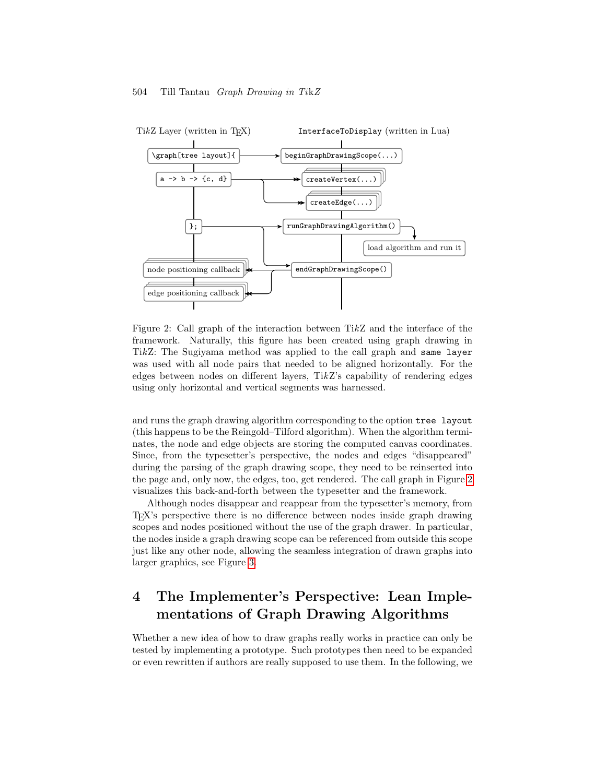

<span id="page-9-1"></span>Figure 2: Call graph of the interaction between TikZ and the interface of the framework. Naturally, this figure has been created using graph drawing in TikZ: The Sugiyama method was applied to the call graph and same layer was used with all node pairs that needed to be aligned horizontally. For the edges between nodes on different layers, TikZ's capability of rendering edges using only horizontal and vertical segments was harnessed.

and runs the graph drawing algorithm corresponding to the option tree layout (this happens to be the Reingold–Tilford algorithm). When the algorithm terminates, the node and edge objects are storing the computed canvas coordinates. Since, from the typesetter's perspective, the nodes and edges "disappeared" during the parsing of the graph drawing scope, they need to be reinserted into the page and, only now, the edges, too, get rendered. The call graph in Figure [2](#page-9-1) visualizes this back-and-forth between the typesetter and the framework.

Although nodes disappear and reappear from the typesetter's memory, from TEX's perspective there is no difference between nodes inside graph drawing scopes and nodes positioned without the use of the graph drawer. In particular, the nodes inside a graph drawing scope can be referenced from outside this scope just like any other node, allowing the seamless integration of drawn graphs into larger graphics, see Figure [3.](#page-10-0)

# <span id="page-9-0"></span>4 The Implementer's Perspective: Lean Implementations of Graph Drawing Algorithms

Whether a new idea of how to draw graphs really works in practice can only be tested by implementing a prototype. Such prototypes then need to be expanded or even rewritten if authors are really supposed to use them. In the following, we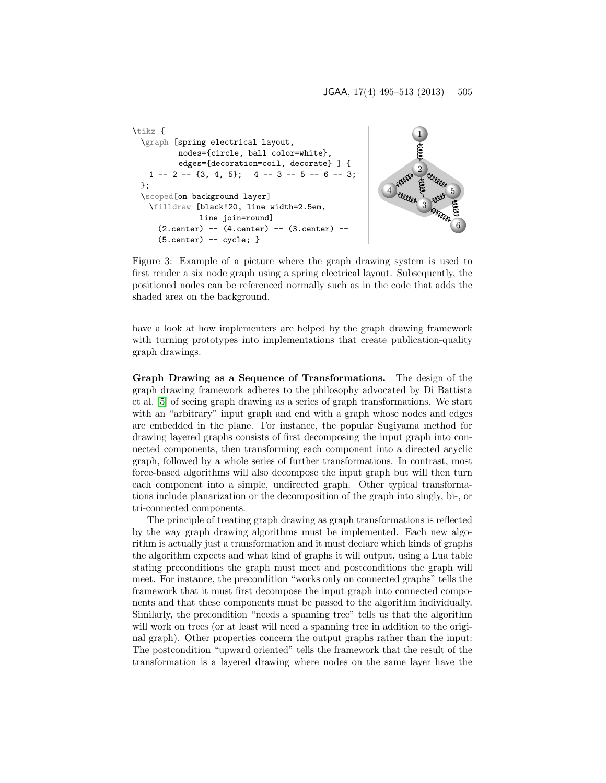

<span id="page-10-0"></span>Figure 3: Example of a picture where the graph drawing system is used to first render a six node graph using a spring electrical layout. Subsequently, the positioned nodes can be referenced normally such as in the code that adds the shaded area on the background.

have a look at how implementers are helped by the graph drawing framework with turning prototypes into implementations that create publication-quality graph drawings.

Graph Drawing as a Sequence of Transformations. The design of the graph drawing framework adheres to the philosophy advocated by Di Battista et al. [\[5\]](#page-17-6) of seeing graph drawing as a series of graph transformations. We start with an "arbitrary" input graph and end with a graph whose nodes and edges are embedded in the plane. For instance, the popular Sugiyama method for drawing layered graphs consists of first decomposing the input graph into connected components, then transforming each component into a directed acyclic graph, followed by a whole series of further transformations. In contrast, most force-based algorithms will also decompose the input graph but will then turn each component into a simple, undirected graph. Other typical transformations include planarization or the decomposition of the graph into singly, bi-, or tri-connected components.

The principle of treating graph drawing as graph transformations is reflected by the way graph drawing algorithms must be implemented. Each new algorithm is actually just a transformation and it must declare which kinds of graphs the algorithm expects and what kind of graphs it will output, using a Lua table stating preconditions the graph must meet and postconditions the graph will meet. For instance, the precondition "works only on connected graphs" tells the framework that it must first decompose the input graph into connected components and that these components must be passed to the algorithm individually. Similarly, the precondition "needs a spanning tree" tells us that the algorithm will work on trees (or at least will need a spanning tree in addition to the original graph). Other properties concern the output graphs rather than the input: The postcondition "upward oriented" tells the framework that the result of the transformation is a layered drawing where nodes on the same layer have the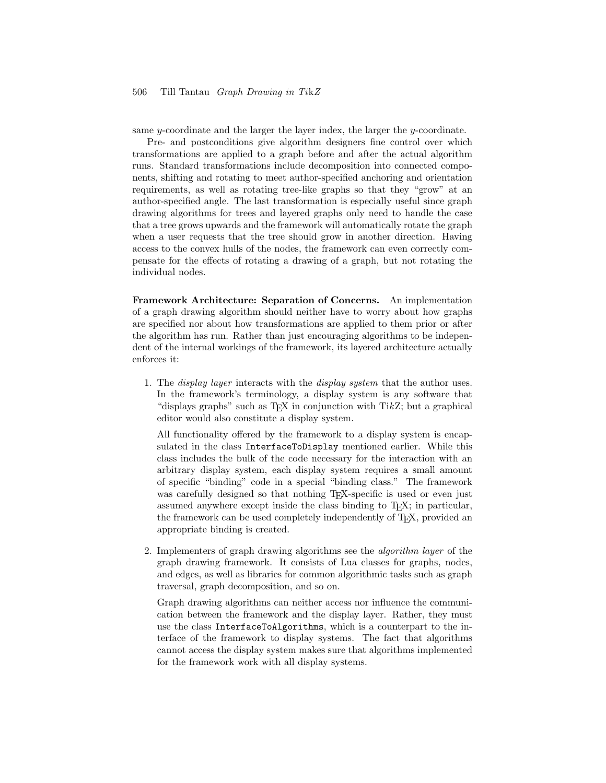same y-coordinate and the larger the layer index, the larger the y-coordinate.

Pre- and postconditions give algorithm designers fine control over which transformations are applied to a graph before and after the actual algorithm runs. Standard transformations include decomposition into connected components, shifting and rotating to meet author-specified anchoring and orientation requirements, as well as rotating tree-like graphs so that they "grow" at an author-specified angle. The last transformation is especially useful since graph drawing algorithms for trees and layered graphs only need to handle the case that a tree grows upwards and the framework will automatically rotate the graph when a user requests that the tree should grow in another direction. Having access to the convex hulls of the nodes, the framework can even correctly compensate for the effects of rotating a drawing of a graph, but not rotating the individual nodes.

Framework Architecture: Separation of Concerns. An implementation of a graph drawing algorithm should neither have to worry about how graphs are specified nor about how transformations are applied to them prior or after the algorithm has run. Rather than just encouraging algorithms to be independent of the internal workings of the framework, its layered architecture actually enforces it:

1. The display layer interacts with the display system that the author uses. In the framework's terminology, a display system is any software that "displays graphs" such as  $T_F X$  in conjunction with  $T_i kZ$ ; but a graphical editor would also constitute a display system.

All functionality offered by the framework to a display system is encapsulated in the class InterfaceToDisplay mentioned earlier. While this class includes the bulk of the code necessary for the interaction with an arbitrary display system, each display system requires a small amount of specific "binding" code in a special "binding class." The framework was carefully designed so that nothing T<sub>E</sub>X-specific is used or even just assumed anywhere except inside the class binding to T<sub>E</sub>X; in particular, the framework can be used completely independently of T<sub>E</sub>X, provided an appropriate binding is created.

2. Implementers of graph drawing algorithms see the algorithm layer of the graph drawing framework. It consists of Lua classes for graphs, nodes, and edges, as well as libraries for common algorithmic tasks such as graph traversal, graph decomposition, and so on.

Graph drawing algorithms can neither access nor influence the communication between the framework and the display layer. Rather, they must use the class InterfaceToAlgorithms, which is a counterpart to the interface of the framework to display systems. The fact that algorithms cannot access the display system makes sure that algorithms implemented for the framework work with all display systems.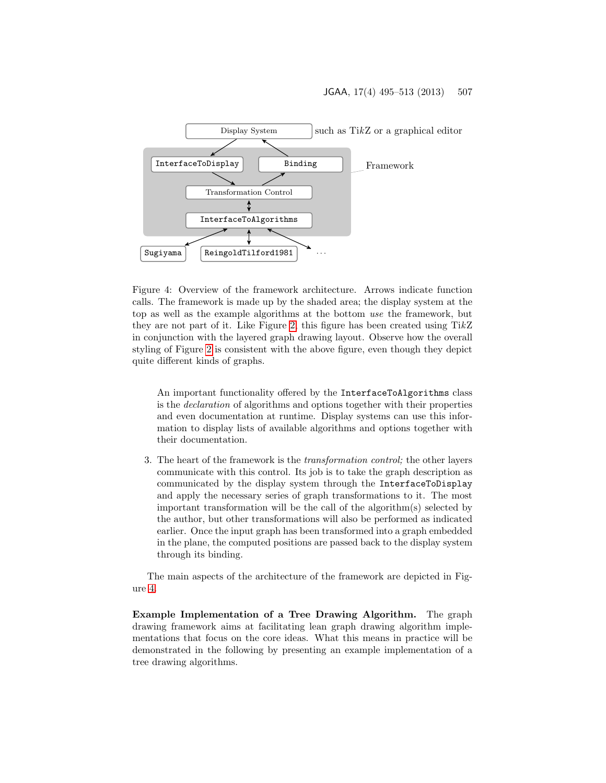

<span id="page-12-0"></span>Figure 4: Overview of the framework architecture. Arrows indicate function calls. The framework is made up by the shaded area; the display system at the top as well as the example algorithms at the bottom use the framework, but they are not part of it. Like Figure [2,](#page-9-1) this figure has been created using TikZ in conjunction with the layered graph drawing layout. Observe how the overall styling of Figure [2](#page-9-1) is consistent with the above figure, even though they depict quite different kinds of graphs.

An important functionality offered by the InterfaceToAlgorithms class is the declaration of algorithms and options together with their properties and even documentation at runtime. Display systems can use this information to display lists of available algorithms and options together with their documentation.

3. The heart of the framework is the transformation control; the other layers communicate with this control. Its job is to take the graph description as communicated by the display system through the InterfaceToDisplay and apply the necessary series of graph transformations to it. The most important transformation will be the call of the algorithm(s) selected by the author, but other transformations will also be performed as indicated earlier. Once the input graph has been transformed into a graph embedded in the plane, the computed positions are passed back to the display system through its binding.

The main aspects of the architecture of the framework are depicted in Figure [4.](#page-12-0)

Example Implementation of a Tree Drawing Algorithm. The graph drawing framework aims at facilitating lean graph drawing algorithm implementations that focus on the core ideas. What this means in practice will be demonstrated in the following by presenting an example implementation of a tree drawing algorithms.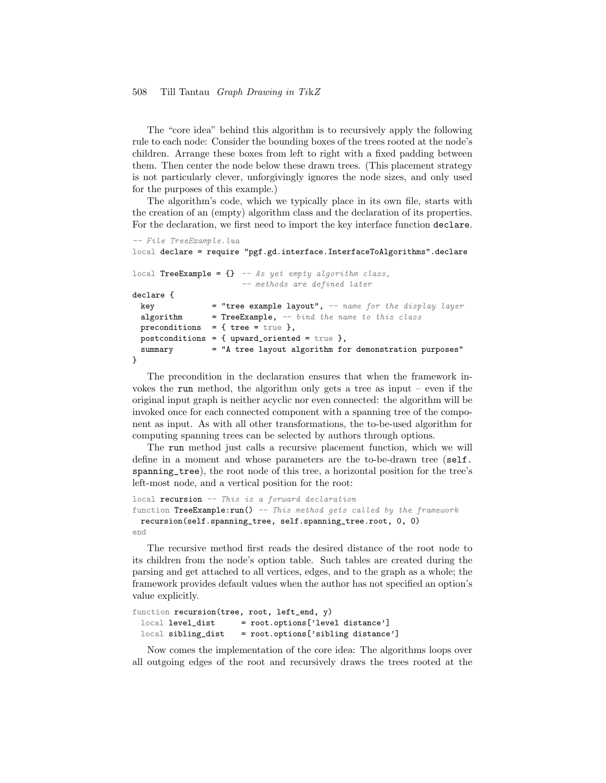#### 508 Till Tantau Graph Drawing in TikZ

The "core idea" behind this algorithm is to recursively apply the following rule to each node: Consider the bounding boxes of the trees rooted at the node's children. Arrange these boxes from left to right with a fixed padding between them. Then center the node below these drawn trees. (This placement strategy is not particularly clever, unforgivingly ignores the node sizes, and only used for the purposes of this example.)

The algorithm's code, which we typically place in its own file, starts with the creation of an (empty) algorithm class and the declaration of its properties. For the declaration, we first need to import the key interface function declare.

```
-- File TreeExample.lua
local declare = require "pgf.gd.interface.InterfaceToAlgorithms".declare
local TreeExample = \{\} -- As yet empty algorithm class,
                      -- methods are defined later
declare {
 key = "tree example layout", - name for the display layer
 algorithm = TreeExample, - bind the name to this class
 preconditions = { tree = true },
 postconditions = { upward_oriented = true },
 summary = "A tree layout algorithm for demonstration purposes"
}
```
The precondition in the declaration ensures that when the framework invokes the run method, the algorithm only gets a tree as input – even if the original input graph is neither acyclic nor even connected: the algorithm will be invoked once for each connected component with a spanning tree of the component as input. As with all other transformations, the to-be-used algorithm for computing spanning trees can be selected by authors through options.

The run method just calls a recursive placement function, which we will define in a moment and whose parameters are the to-be-drawn tree (self. spanning\_tree), the root node of this tree, a horizontal position for the tree's left-most node, and a vertical position for the root:

```
local recursion -- This is a forward declaration
function TreeExample:run() -- This method gets called by the framework
 recursion(self.spanning_tree, self.spanning_tree.root, 0, 0)
end
```
The recursive method first reads the desired distance of the root node to its children from the node's option table. Such tables are created during the parsing and get attached to all vertices, edges, and to the graph as a whole; the framework provides default values when the author has not specified an option's value explicitly.

```
function recursion(tree, root, left_end, y)
 local level_dist = root.options['level distance']
 local sibling_dist = root.options['sibling distance']
```
Now comes the implementation of the core idea: The algorithms loops over all outgoing edges of the root and recursively draws the trees rooted at the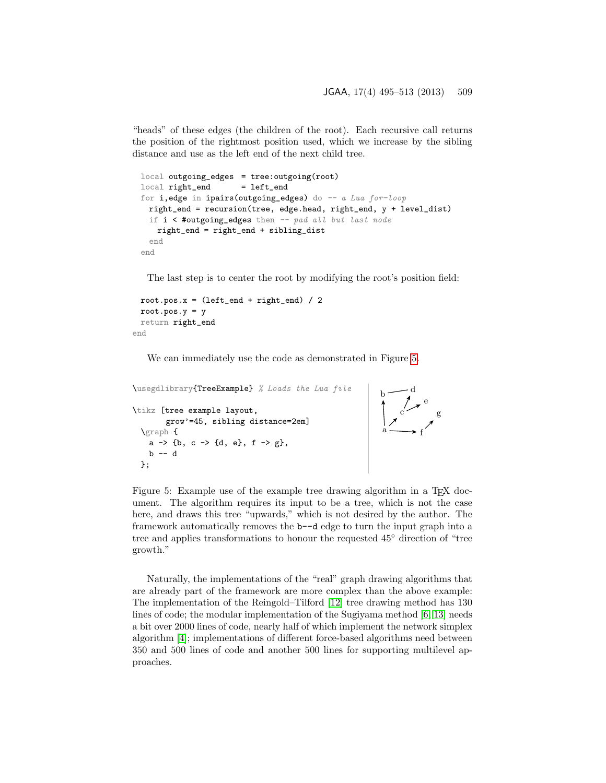e

g

f

"heads" of these edges (the children of the root). Each recursive call returns the position of the rightmost position used, which we increase by the sibling distance and use as the left end of the next child tree.

```
local outgoing_edges = tree:outgoing(root)
local right_end = left_end
for i, edge in ipairs (outgoing_edges) do - a Lua for-loop
 right_end = recursion(tree, edge.head, right_end, y + level\_dist)
 if i < #outgoing_edges then -- pad all but last node
   right_end = right_end + sibling_dist
 end
end
```
The last step is to center the root by modifying the root's position field:

```
root.pos.x = (left\_end + right\_end) / 2root.pos.y = y
 return right_end
end
```
We can immediately use the code as demonstrated in Figure [5.](#page-14-0)

```
\usegdlibrary{TreeExample} % Loads the Lua file
\tikz [tree example layout,
        grow'=45, sibling distance=2em]
  \graph {
   a \rightarrow \{b, c \rightarrow \{d, e\}, f \rightarrow g\},b -- d};
                                                              a
                                                             b
                                                                  c
                                                                     d
```
<span id="page-14-0"></span>Figure 5: Example use of the example tree drawing algorithm in a T<sub>EX</sub> document. The algorithm requires its input to be a tree, which is not the case here, and draws this tree "upwards," which is not desired by the author. The framework automatically removes the b--d edge to turn the input graph into a tree and applies transformations to honour the requested 45◦ direction of "tree growth."

Naturally, the implementations of the "real" graph drawing algorithms that are already part of the framework are more complex than the above example: The implementation of the Reingold–Tilford [\[12\]](#page-17-10) tree drawing method has 130 lines of code; the modular implementation of the Sugiyama method [\[6,](#page-17-3) [13\]](#page-17-4) needs a bit over 2000 lines of code, nearly half of which implement the network simplex algorithm [\[4\]](#page-17-11); implementations of different force-based algorithms need between 350 and 500 lines of code and another 500 lines for supporting multilevel approaches.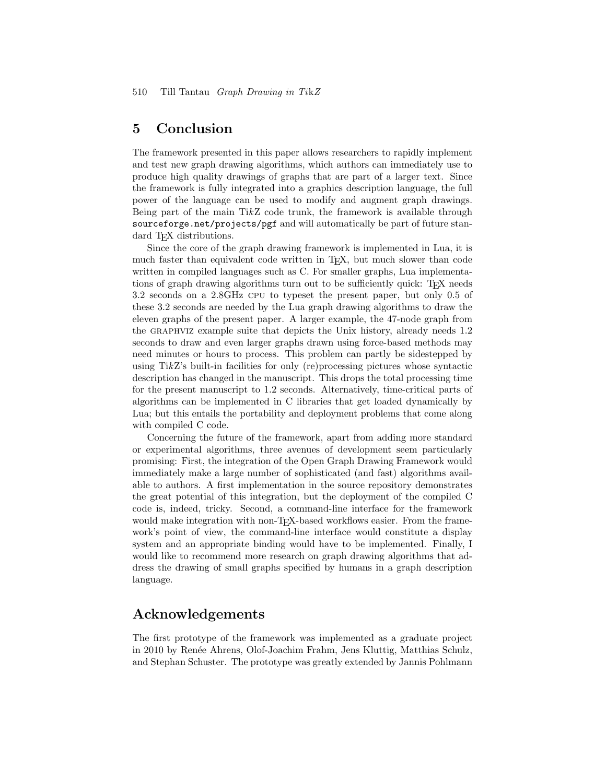## 5 Conclusion

The framework presented in this paper allows researchers to rapidly implement and test new graph drawing algorithms, which authors can immediately use to produce high quality drawings of graphs that are part of a larger text. Since the framework is fully integrated into a graphics description language, the full power of the language can be used to modify and augment graph drawings. Being part of the main TikZ code trunk, the framework is available through sourceforge.net/projects/pgf and will automatically be part of future standard T<sub>F</sub>X distributions.

Since the core of the graph drawing framework is implemented in Lua, it is much faster than equivalent code written in T<sub>E</sub>X, but much slower than code written in compiled languages such as C. For smaller graphs, Lua implementations of graph drawing algorithms turn out to be sufficiently quick: T<sub>EX</sub> needs 3.2 seconds on a 2.8GHz cpu to typeset the present paper, but only 0.5 of these 3.2 seconds are needed by the Lua graph drawing algorithms to draw the eleven graphs of the present paper. A larger example, the 47-node graph from the graphviz example suite that depicts the Unix history, already needs 1.2 seconds to draw and even larger graphs drawn using force-based methods may need minutes or hours to process. This problem can partly be sidestepped by using TikZ's built-in facilities for only (re)processing pictures whose syntactic description has changed in the manuscript. This drops the total processing time for the present manuscript to 1.2 seconds. Alternatively, time-critical parts of algorithms can be implemented in C libraries that get loaded dynamically by Lua; but this entails the portability and deployment problems that come along with compiled C code.

Concerning the future of the framework, apart from adding more standard or experimental algorithms, three avenues of development seem particularly promising: First, the integration of the Open Graph Drawing Framework would immediately make a large number of sophisticated (and fast) algorithms available to authors. A first implementation in the source repository demonstrates the great potential of this integration, but the deployment of the compiled C code is, indeed, tricky. Second, a command-line interface for the framework would make integration with non-TEX-based workflows easier. From the framework's point of view, the command-line interface would constitute a display system and an appropriate binding would have to be implemented. Finally, I would like to recommend more research on graph drawing algorithms that address the drawing of small graphs specified by humans in a graph description language.

### Acknowledgements

The first prototype of the framework was implemented as a graduate project in 2010 by Ren´ee Ahrens, Olof-Joachim Frahm, Jens Kluttig, Matthias Schulz, and Stephan Schuster. The prototype was greatly extended by Jannis Pohlmann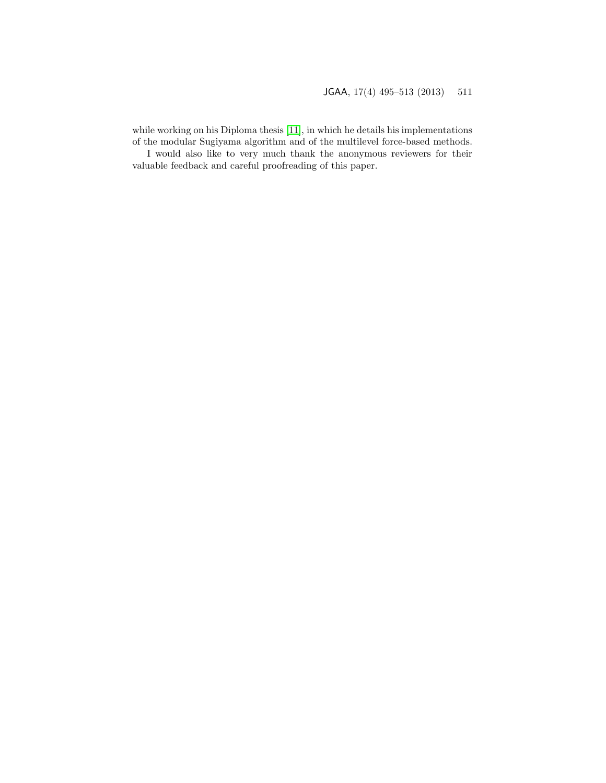#### JGAA, 17(4) 495-513 (2013) 511

while working on his Diploma thesis [\[11\]](#page-17-12), in which he details his implementations of the modular Sugiyama algorithm and of the multilevel force-based methods.

I would also like to very much thank the anonymous reviewers for their valuable feedback and careful proofreading of this paper.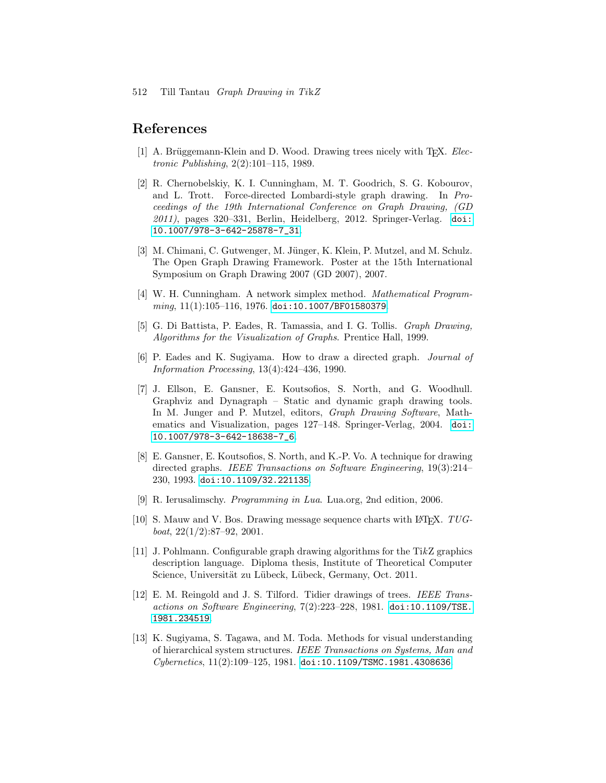### References

- <span id="page-17-7"></span>[1] A. Brüggemann-Klein and D. Wood. Drawing trees nicely with TFX. Electronic Publishing, 2(2):101–115, 1989.
- <span id="page-17-0"></span>[2] R. Chernobelskiy, K. I. Cunningham, M. T. Goodrich, S. G. Kobourov, and L. Trott. Force-directed Lombardi-style graph drawing. In Proceedings of the 19th International Conference on Graph Drawing, (GD  $2011$ , pages  $320-331$ , Berlin, Heidelberg, 2012. Springer-Verlag. [doi:](http://dx.doi.org/10.1007/978-3-642-25878-7_31) [10.1007/978-3-642-25878-7\\_31](http://dx.doi.org/10.1007/978-3-642-25878-7_31).
- <span id="page-17-1"></span>[3] M. Chimani, C. Gutwenger, M. Jünger, K. Klein, P. Mutzel, and M. Schulz. The Open Graph Drawing Framework. Poster at the 15th International Symposium on Graph Drawing 2007 (GD 2007), 2007.
- <span id="page-17-11"></span>[4] W. H. Cunningham. A network simplex method. Mathematical Program $ming, 11(1):105-116, 1976.$ [doi:10.1007/BF01580379](http://dx.doi.org/10.1007/BF01580379).
- <span id="page-17-6"></span>[5] G. Di Battista, P. Eades, R. Tamassia, and I. G. Tollis. Graph Drawing, Algorithms for the Visualization of Graphs. Prentice Hall, 1999.
- <span id="page-17-3"></span>[6] P. Eades and K. Sugiyama. How to draw a directed graph. Journal of Information Processing, 13(4):424–436, 1990.
- <span id="page-17-2"></span>[7] J. Ellson, E. Gansner, E. Koutsofios, S. North, and G. Woodhull. Graphviz and Dynagraph – Static and dynamic graph drawing tools. In M. Junger and P. Mutzel, editors, Graph Drawing Software, Mathematics and Visualization, pages 127–148. Springer-Verlag, 2004. [doi:](http://dx.doi.org/10.1007/978-3-642-18638-7_6) [10.1007/978-3-642-18638-7\\_6](http://dx.doi.org/10.1007/978-3-642-18638-7_6).
- <span id="page-17-9"></span>[8] E. Gansner, E. Koutsofios, S. North, and K.-P. Vo. A technique for drawing directed graphs. IEEE Transactions on Software Engineering, 19(3):214– 230, 1993. [doi:10.1109/32.221135](http://dx.doi.org/10.1109/32.221135).
- <span id="page-17-5"></span>[9] R. Ierusalimschy. Programming in Lua. Lua.org, 2nd edition, 2006.
- <span id="page-17-8"></span>[10] S. Mauw and V. Bos. Drawing message sequence charts with  $\mathbb{F}$ FFX. TUG $boat, 22(1/2):87-92, 2001.$
- <span id="page-17-12"></span>[11] J. Pohlmann. Configurable graph drawing algorithms for the TikZ graphics description language. Diploma thesis, Institute of Theoretical Computer Science, Universität zu Lübeck, Lübeck, Germany, Oct. 2011.
- <span id="page-17-10"></span>[12] E. M. Reingold and J. S. Tilford. Tidier drawings of trees. IEEE Transactions on Software Engineering,  $7(2):223-228$ , 1981. [doi:10.1109/TSE.](http://dx.doi.org/10.1109/TSE.1981.234519) [1981.234519](http://dx.doi.org/10.1109/TSE.1981.234519).
- <span id="page-17-4"></span>[13] K. Sugiyama, S. Tagawa, and M. Toda. Methods for visual understanding of hierarchical system structures. IEEE Transactions on Systems, Man and  $Cybernetics, 11(2):109-125, 1981.$  [doi:10.1109/TSMC.1981.4308636](http://dx.doi.org/10.1109/TSMC.1981.4308636).